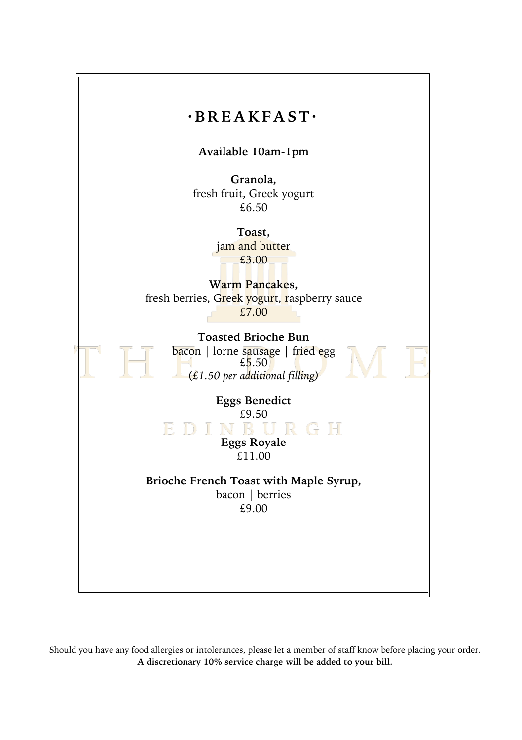

Should you have any food allergies or intolerances, please let a member of staff know before placing your order. **A discretionary 10% service charge will be added to your bill.**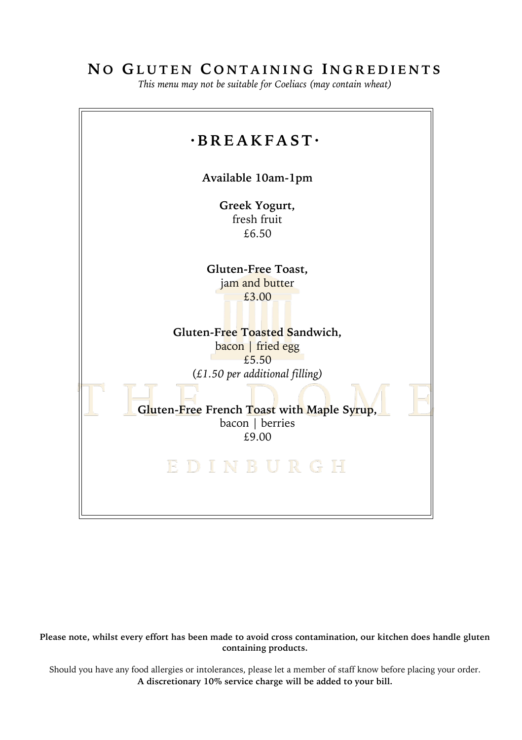## **N O G L U T E N C O N T A I N I N G I N G R E D I E N T S**

*This menu may not be suitable for Coeliacs (may contain wheat)*



**Please note, whilst every effort has been made to avoid cross contamination, our kitchen does handle gluten containing products.**

Should you have any food allergies or intolerances, please let a member of staff know before placing your order. **A discretionary 10% service charge will be added to your bill.**